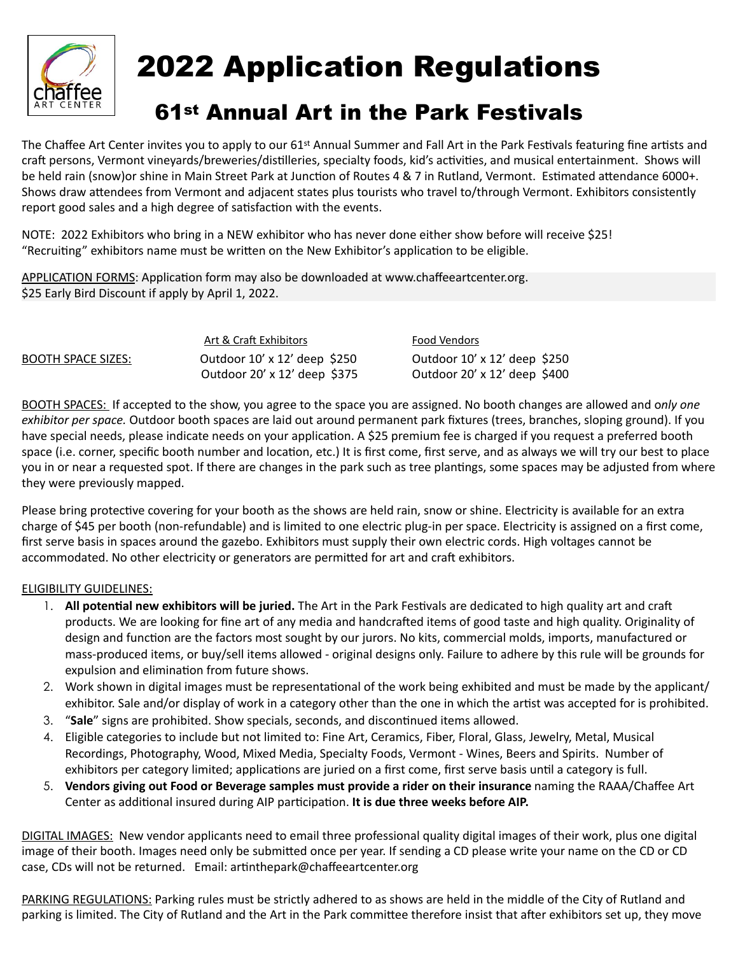

## 2022 Application Regulations

## 61st Annual Art in the Park Festivals

The Chaffee Art Center invites you to apply to our 61<sup>st</sup> Annual Summer and Fall Art in the Park Festivals featuring fine artists and craft persons, Vermont vineyards/breweries/distilleries, specialty foods, kid's activities, and musical entertainment. Shows will be held rain (snow)or shine in Main Street Park at Junction of Routes 4 & 7 in Rutland, Vermont. Estimated attendance 6000+. Shows draw attendees from Vermont and adjacent states plus tourists who travel to/through Vermont. Exhibitors consistently report good sales and a high degree of satisfaction with the events.

NOTE: 2022 Exhibitors who bring in a NEW exhibitor who has never done either show before will receive \$25! "Recruiting" exhibitors name must be written on the New Exhibitor's application to be eligible.

APPLICATION FORMS: Application form may also be downloaded at www.chaffeeartcenter.org. \$25 Early Bird Discount if apply by April 1, 2022.

|                    | Art & Craft Exhibitors              | <b>Food Vendors</b>                 |
|--------------------|-------------------------------------|-------------------------------------|
| BOOTH SPACE SIZES: | Outdoor $10' \times 12'$ deep \$250 | Outdoor $10' \times 12'$ deep \$250 |
|                    | Outdoor 20' x 12' deep \$375        | Outdoor $20' \times 12'$ deep \$400 |

BOOTH SPACES: If accepted to the show, you agree to the space you are assigned. No booth changes are allowed and o*nly one exhibitor per space.* Outdoor booth spaces are laid out around permanent park fixtures (trees, branches, sloping ground). If you have special needs, please indicate needs on your application. A \$25 premium fee is charged if you request a preferred booth space (i.e. corner, specific booth number and location, etc.) It is first come, first serve, and as always we will try our best to place you in or near a requested spot. If there are changes in the park such as tree plantings, some spaces may be adjusted from where they were previously mapped.

Please bring protective covering for your booth as the shows are held rain, snow or shine. Electricity is available for an extra charge of \$45 per booth (non-refundable) and is limited to one electric plug-in per space. Electricity is assigned on a first come, first serve basis in spaces around the gazebo. Exhibitors must supply their own electric cords. High voltages cannot be accommodated. No other electricity or generators are permitted for art and craft exhibitors.

## ELIGIBILITY GUIDELINES:

- 1. All potential new exhibitors will be juried. The Art in the Park Festivals are dedicated to high quality art and craft products. We are looking for fine art of any media and handcrafted items of good taste and high quality. Originality of design and function are the factors most sought by our jurors. No kits, commercial molds, imports, manufactured or mass-produced items, or buy/sell items allowed - original designs only. Failure to adhere by this rule will be grounds for expulsion and elimination from future shows.
- 2. Work shown in digital images must be representational of the work being exhibited and must be made by the applicant/ exhibitor. Sale and/or display of work in a category other than the one in which the artist was accepted for is prohibited.
- 3. "Sale" signs are prohibited. Show specials, seconds, and discontinued items allowed.
- 4. Eligible categories to include but not limited to: Fine Art, Ceramics, Fiber, Floral, Glass, Jewelry, Metal, Musical Recordings, Photography, Wood, Mixed Media, Specialty Foods, Vermont - Wines, Beers and Spirits. Number of exhibitors per category limited; applications are juried on a first come, first serve basis until a category is full.
- 5. **Vendors giving out Food or Beverage samples must provide a rider on their insurance** naming the RAAA/Chaffee Art Center as additional insured during AIP participation. It is due three weeks before AIP.

DIGITAL IMAGES: New vendor applicants need to email three professional quality digital images of their work, plus one digital image of their booth. Images need only be submitted once per year. If sending a CD please write your name on the CD or CD case, CDs will not be returned. Email: artinthepark@chaffeeartcenter.org

PARKING REGULATIONS: Parking rules must be strictly adhered to as shows are held in the middle of the City of Rutland and parking is limited. The City of Rutland and the Art in the Park committee therefore insist that after exhibitors set up, they move